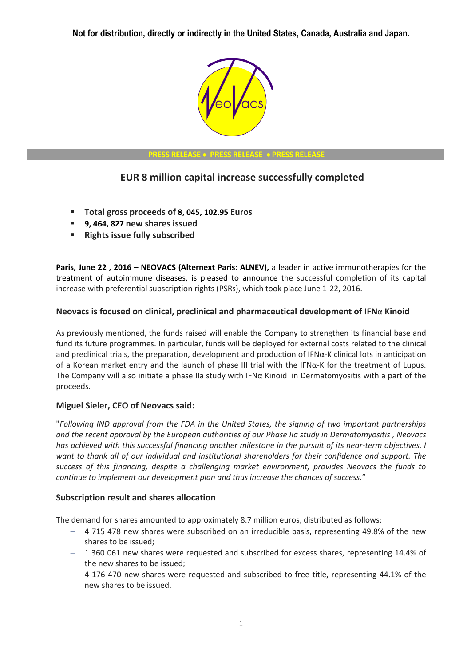

#### **PRESS RELEASE PRESS RELEASE PRESS RELEASE**

# **EUR 8 million capital increase successfully completed**

- **Total gross proceeds of 8, 045, 102.95 Euros**
- **9, 464, 827 new shares issued**
- **Rights issue fully subscribed**

**Paris, June 22 , 2016 – NEOVACS (Alternext Paris: ALNEV),** a leader in active immunotherapies for the treatment of autoimmune diseases, is pleased to announce the successful completion of its capital increase with preferential subscription rights (PSRs), which took place June 1-22, 2016.

### **Neovacs is focused on clinical, preclinical and pharmaceutical development of IFN**α **Kinoid**

As previously mentioned, the funds raised will enable the Company to strengthen its financial base and fund its future programmes. In particular, funds will be deployed for external costs related to the clinical and preclinical trials, the preparation, development and production of IFNα-K clinical lots in anticipation of a Korean market entry and the launch of phase III trial with the IFNα-K for the treatment of Lupus. The Company will also initiate a phase IIa study with IFNα Kinoid in Dermatomyositis with a part of the proceeds.

### **Miguel Sieler, CEO of Neovacs said:**

"*Following IND approval from the FDA in the United States, the signing of two important partnerships and the recent approval by the European authorities of our Phase IIa study in Dermatomyositis , Neovacs has achieved with this successful financing another milestone in the pursuit of its near-term objectives. I want to thank all of our individual and institutional shareholders for their confidence and support. The success of this financing, despite a challenging market environment, provides Neovacs the funds to continue to implement our development plan and thus increase the chances of success*."

### **Subscription result and shares allocation**

The demand for shares amounted to approximately 8.7 million euros, distributed as follows:

- 4 715 478 new shares were subscribed on an irreducible basis, representing 49.8% of the new shares to be issued;
- 1 360 061 new shares were requested and subscribed for excess shares, representing 14.4% of the new shares to be issued;
- 4 176 470 new shares were requested and subscribed to free title, representing 44.1% of the new shares to be issued.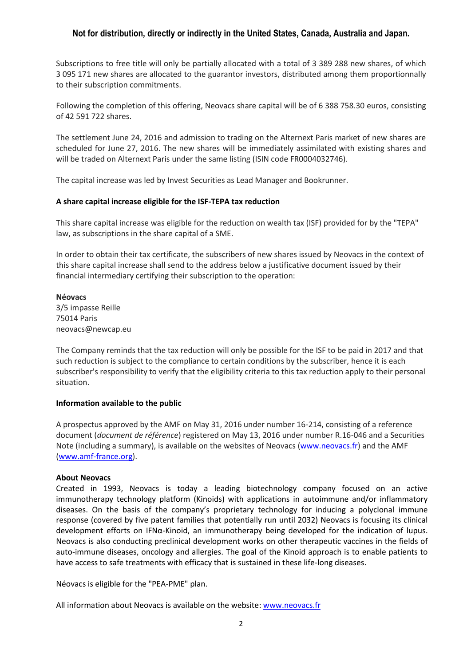Subscriptions to free title will only be partially allocated with a total of 3 389 288 new shares, of which 3 095 171 new shares are allocated to the guarantor investors, distributed among them proportionnally to their subscription commitments.

Following the completion of this offering, Neovacs share capital will be of 6 388 758.30 euros, consisting of 42 591 722 shares.

The settlement June 24, 2016 and admission to trading on the Alternext Paris market of new shares are scheduled for June 27, 2016. The new shares will be immediately assimilated with existing shares and will be traded on Alternext Paris under the same listing (ISIN code FR0004032746).

The capital increase was led by Invest Securities as Lead Manager and Bookrunner.

#### **A share capital increase eligible for the ISF-TEPA tax reduction**

This share capital increase was eligible for the reduction on wealth tax (ISF) provided for by the "TEPA" law, as subscriptions in the share capital of a SME.

In order to obtain their tax certificate, the subscribers of new shares issued by Neovacs in the context of this share capital increase shall send to the address below a justificative document issued by their financial intermediary certifying their subscription to the operation:

#### **Néovacs**

3/5 impasse Reille 75014 Paris neovacs@newcap.eu

The Company reminds that the tax reduction will only be possible for the ISF to be paid in 2017 and that such reduction is subject to the compliance to certain conditions by the subscriber, hence it is each subscriber's responsibility to verify that the eligibility criteria to this tax reduction apply to their personal situation.

#### **Information available to the public**

A prospectus approved by the AMF on May 31, 2016 under number 16-214, consisting of a reference document (*document de référence*) registered on May 13, 2016 under number R.16-046 and a Securities Note (including a summary), is available on the websites of Neovacs [\(www.neovacs.fr\)](http://www.neovacs.fr/) and the AMF [\(www.amf-france.org\)](http://www.amf-france.org/).

#### **About Neovacs**

Created in 1993, Neovacs is today a leading biotechnology company focused on an active immunotherapy technology platform (Kinoids) with applications in autoimmune and/or inflammatory diseases. On the basis of the company's proprietary technology for inducing a polyclonal immune response (covered by five patent families that potentially run until 2032) Neovacs is focusing its clinical development efforts on IFNα-Kinoid, an immunotherapy being developed for the indication of lupus. Neovacs is also conducting preclinical development works on other therapeutic vaccines in the fields of auto-immune diseases, oncology and allergies. The goal of the Kinoid approach is to enable patients to have access to safe treatments with efficacy that is sustained in these life-long diseases.

Néovacs is eligible for the "PEA-PME" plan.

All information about Neovacs is available on the website[: www.neovacs.fr](http://www.neovacs.fr/)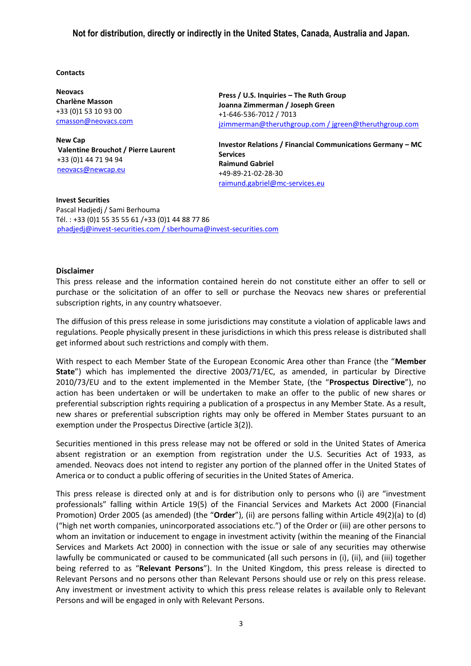#### **Contacts**

**Neovacs Charlène Masson** +33 (0)1 53 10 93 00 [cmasson@neovacs.com](mailto:cmasson@neovacs.com)

**New Cap Valentine Brouchot / Pierre Laurent** +33 (0)1 44 71 94 94 [neovacs@newcap.eu](mailto:neovacs@newcap.eu)

**Press / U.S. Inquiries – The Ruth Group Joanna Zimmerman / Joseph Green** +1-646-536-7012 / 7013 jzimmerman@theruthgroup.com / [jgreen@theruthgroup.com](mailto:jgreen@theruthgroup.com)

**Investor Relations / Financial Communications Germany – MC Services Raimund Gabriel** +49-89-21-02-28-30 [raimund.gabriel@mc-services.eu](mailto:raimund.gabriel@mc-services.eu)

**Invest Securities**  Pascal Hadjedj / Sami Berhouma Tél. : +33 (0)1 55 35 55 61 /+33 (0)1 44 88 77 86 phadjedj@invest-securities.com / sberhouma@invest-securities.com

#### **Disclaimer**

This press release and the information contained herein do not constitute either an offer to sell or purchase or the solicitation of an offer to sell or purchase the Neovacs new shares or preferential subscription rights, in any country whatsoever.

The diffusion of this press release in some jurisdictions may constitute a violation of applicable laws and regulations. People physically present in these jurisdictions in which this press release is distributed shall get informed about such restrictions and comply with them.

With respect to each Member State of the European Economic Area other than France (the "**Member State**") which has implemented the directive 2003/71/EC, as amended, in particular by Directive 2010/73/EU and to the extent implemented in the Member State, (the "**Prospectus Directive**"), no action has been undertaken or will be undertaken to make an offer to the public of new shares or preferential subscription rights requiring a publication of a prospectus in any Member State. As a result, new shares or preferential subscription rights may only be offered in Member States pursuant to an exemption under the Prospectus Directive (article 3(2)).

Securities mentioned in this press release may not be offered or sold in the United States of America absent registration or an exemption from registration under the U.S. Securities Act of 1933, as amended. Neovacs does not intend to register any portion of the planned offer in the United States of America or to conduct a public offering of securities in the United States of America.

This press release is directed only at and is for distribution only to persons who (i) are "investment professionals" falling within Article 19(5) of the Financial Services and Markets Act 2000 (Financial Promotion) Order 2005 (as amended) (the "**Order**"), (ii) are persons falling within Article 49(2)(a) to (d) ("high net worth companies, unincorporated associations etc.") of the Order or (iii) are other persons to whom an invitation or inducement to engage in investment activity (within the meaning of the Financial Services and Markets Act 2000) in connection with the issue or sale of any securities may otherwise lawfully be communicated or caused to be communicated (all such persons in (i), (ii), and (iii) together being referred to as "**Relevant Persons**"). In the United Kingdom, this press release is directed to Relevant Persons and no persons other than Relevant Persons should use or rely on this press release. Any investment or investment activity to which this press release relates is available only to Relevant Persons and will be engaged in only with Relevant Persons.